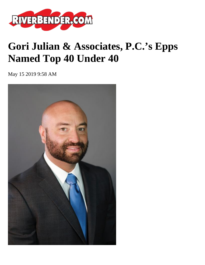

## **Gori Julian & Associates, P.C.'s Epps Named Top 40 Under 40**

May 15 2019 9:58 AM